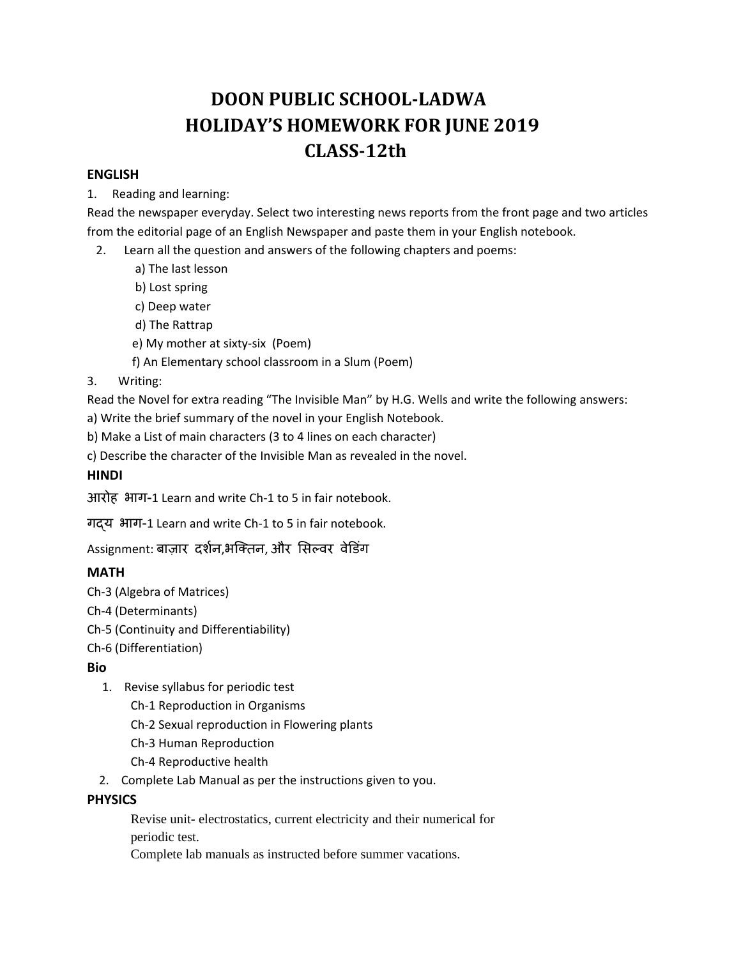# **DOON PUBLIC SCHOOL‐LADWA HOLIDAY'S HOMEWORK FOR JUNE 2019 CLASS**–12th

#### **ENGLISH**

1. Reading and learning:

Read the newspaper everyday. Select two interesting news reports from the front page and two articles from the editorial page of an English Newspaper and paste them in your English notebook.

- 2. Learn all the question and answers of the following chapters and poems:
	- a) The last lesson
	- b) Lost spring
	- c) Deep water
	- d) The Rattrap
	- e) My mother at sixty‐six (Poem)
	- f) An Elementary school classroom in a Slum (Poem)
- 3. Writing:

Read the Novel for extra reading "The Invisible Man" by H.G. Wells and write the following answers:

- a) Write the brief summary of the novel in your English Notebook.
- b) Make a List of main characters (3 to 4 lines on each character)
- c) Describe the character of the Invisible Man as revealed in the novel.

## **HINDI**

आरोह भाग-1 Learn and write Ch‐1 to 5 in fair notebook.

गɮय भाग-1 Learn and write Ch‐1 to 5 in fair notebook.

Assignment: बाज़ार दर्शन,भक्तिन, और सिल्वर वेडिंग

# **MATH**

Ch‐3 (Algebra of Matrices)

Ch‐4 (Determinants)

Ch‐5 (Continuity and Differentiability)

Ch‐6 (Differentiation)

# **Bio**

- 1. Revise syllabus for periodic test
	- Ch‐1 Reproduction in Organisms
	- Ch‐2 Sexual reproduction in Flowering plants
	- Ch‐3 Human Reproduction
	- Ch‐4 Reproductive health
- 2. Complete Lab Manual as per the instructions given to you.

# **PHYSICS**

Revise unit- electrostatics, current electricity and their numerical for periodic test.

Complete lab manuals as instructed before summer vacations.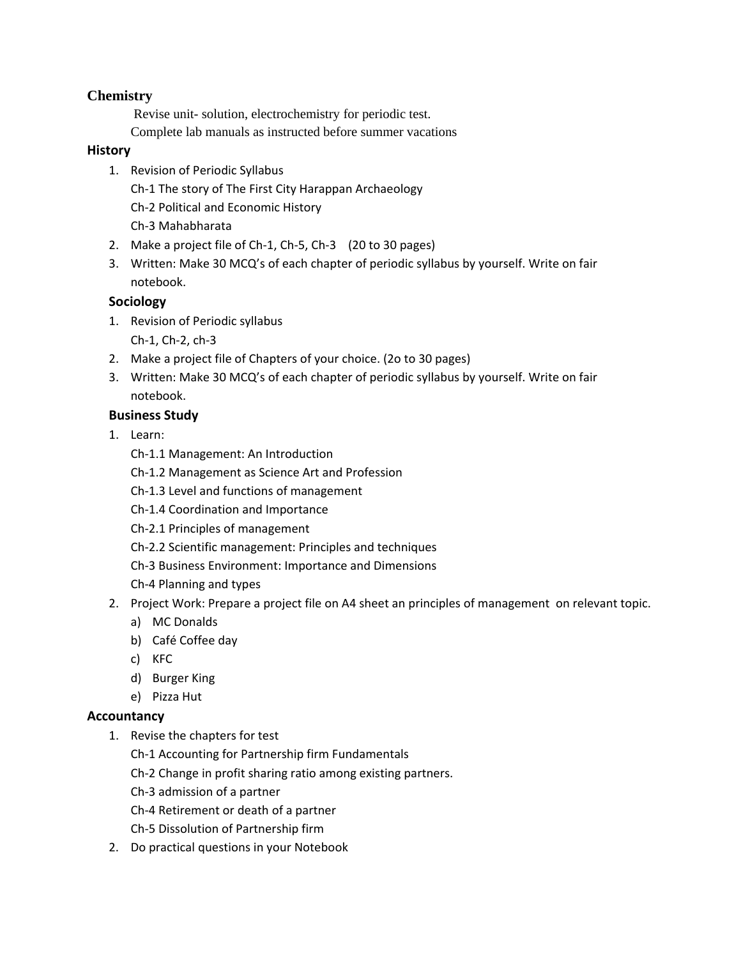# **Chemistry**

 Revise unit- solution, electrochemistry for periodic test. Complete lab manuals as instructed before summer vacations

#### **History**

- 1. Revision of Periodic Syllabus Ch‐1 The story of The First City Harappan Archaeology Ch‐2 Political and Economic History Ch‐3 Mahabharata
- 2. Make a project file of Ch-1, Ch-5, Ch-3 (20 to 30 pages)
- 3. Written: Make 30 MCQ's of each chapter of periodic syllabus by yourself. Write on fair notebook.

## **Sociology**

- 1. Revision of Periodic syllabus
	- Ch‐1, Ch‐2, ch‐3
- 2. Make a project file of Chapters of your choice. (2o to 30 pages)
- 3. Written: Make 30 MCQ's of each chapter of periodic syllabus by yourself. Write on fair notebook.

#### **Business Study**

- 1. Learn:
	- Ch‐1.1 Management: An Introduction
	- Ch‐1.2 Management as Science Art and Profession
	- Ch‐1.3 Level and functions of management
	- Ch‐1.4 Coordination and Importance
	- Ch‐2.1 Principles of management
	- Ch‐2.2 Scientific management: Principles and techniques
	- Ch‐3 Business Environment: Importance and Dimensions
	- Ch‐4 Planning and types
- 2. Project Work: Prepare a project file on A4 sheet an principles of management on relevant topic.
	- a) MC Donalds
	- b) Café Coffee day
	- c) KFC
	- d) Burger King
	- e) Pizza Hut

## **Accountancy**

- 1. Revise the chapters for test
	- Ch‐1 Accounting for Partnership firm Fundamentals
	- Ch‐2 Change in profit sharing ratio among existing partners.
	- Ch‐3 admission of a partner
	- Ch‐4 Retirement or death of a partner
	- Ch‐5 Dissolution of Partnership firm
- 2. Do practical questions in your Notebook